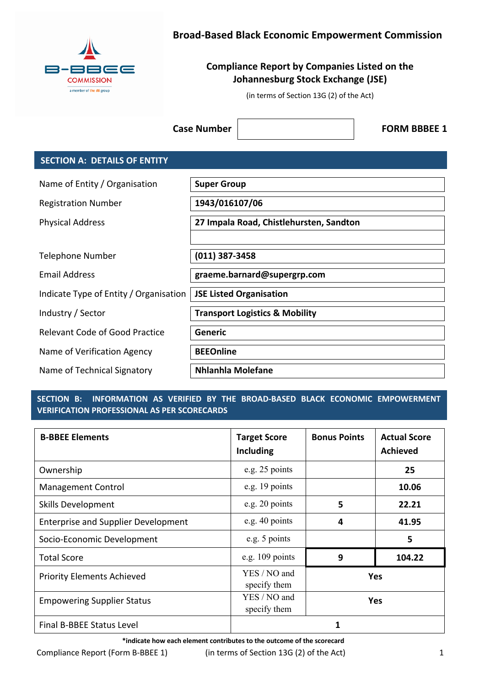

# **Broad-Based Black Economic Empowerment Commission**

# **Compliance Report by Companies Listed on the Johannesburg Stock Exchange (JSE)**

(in terms of Section 13G (2) of the Act)

**Case Number | Case Number | Case Number | Case Number | FORM BBBEE 1** 

## **SECTION A: DETAILS OF ENTITY**

| Name of Entity / Organisation          | <b>Super Group</b>                        |
|----------------------------------------|-------------------------------------------|
| <b>Registration Number</b>             | 1943/016107/06                            |
| <b>Physical Address</b>                | 27 Impala Road, Chistlehursten, Sandton   |
|                                        |                                           |
| Telephone Number                       | $(011)$ 387-3458                          |
| Email Address                          | graeme.barnard@supergrp.com               |
| Indicate Type of Entity / Organisation | <b>JSE Listed Organisation</b>            |
| Industry / Sector                      | <b>Transport Logistics &amp; Mobility</b> |
| <b>Relevant Code of Good Practice</b>  | <b>Generic</b>                            |
| Name of Verification Agency            | <b>BEEOnline</b>                          |
| Name of Technical Signatory            | <b>Nhlanhla Molefane</b>                  |

## **SECTION B: INFORMATION AS VERIFIED BY THE BROAD-BASED BLACK ECONOMIC EMPOWERMENT VERIFICATION PROFESSIONAL AS PER SCORECARDS**

| <b>B-BBEE Elements</b>                     | <b>Target Score</b><br>Including | <b>Bonus Points</b> | <b>Actual Score</b><br><b>Achieved</b> |
|--------------------------------------------|----------------------------------|---------------------|----------------------------------------|
| Ownership                                  | e.g. 25 points                   |                     | 25                                     |
| <b>Management Control</b>                  | e.g. 19 points                   |                     | 10.06                                  |
| <b>Skills Development</b>                  | e.g. 20 points                   | 5                   | 22.21                                  |
| <b>Enterprise and Supplier Development</b> | e.g. 40 points                   | Δ                   | 41.95                                  |
| Socio-Economic Development                 | e.g. 5 points                    | 5                   |                                        |
| <b>Total Score</b>                         | e.g. $109$ points                | 9<br>104.22         |                                        |
| <b>Priority Elements Achieved</b>          | YES / NO and<br>specify them     | Yes                 |                                        |
| <b>Empowering Supplier Status</b>          | YES / NO and<br>specify them     | Yes                 |                                        |
| Final B-BBEE Status Level                  |                                  |                     |                                        |

**\*indicate how each element contributes to the outcome of the scorecard** 

Compliance Report (Form B-BBEE 1) (in terms of Section 13G (2) of the Act) 1